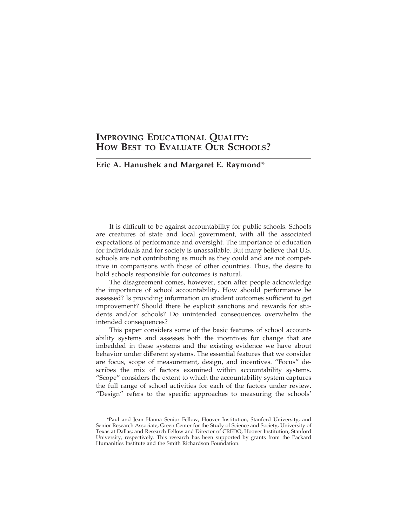# **IMPROVING EDUCATIONAL QUALITY: HOW BEST TO EVALUATE OUR SCHOOLS?**

## Eric A. Hanushek and Margaret E. Raymond\*

It is difficult to be against accountability for public schools. Schools are creatures of state and local government, with all the associated expectations of performance and oversight. The importance of education for individuals and for society is unassailable. But many believe that U.S. schools are not contributing as much as they could and are not competitive in comparisons with those of other countries. Thus, the desire to hold schools responsible for outcomes is natural.

The disagreement comes, however, soon after people acknowledge the importance of school accountability. How should performance be assessed? Is providing information on student outcomes sufficient to get improvement? Should there be explicit sanctions and rewards for students and/or schools? Do unintended consequences overwhelm the intended consequences?

This paper considers some of the basic features of school accountability systems and assesses both the incentives for change that are imbedded in these systems and the existing evidence we have about behavior under different systems. The essential features that we consider are focus, scope of measurement, design, and incentives. "Focus" describes the mix of factors examined within accountability systems. "Scope" considers the extent to which the accountability system captures the full range of school activities for each of the factors under review. "Design" refers to the specific approaches to measuring the schools'

<sup>\*</sup>Paul and Jean Hanna Senior Fellow, Hoover Institution, Stanford University, and Senior Research Associate, Green Center for the Study of Science and Society, University of Texas at Dallas; and Research Fellow and Director of CREDO, Hoover Institution, Stanford University, respectively. This research has been supported by grants from the Packard Humanities Institute and the Smith Richardson Foundation.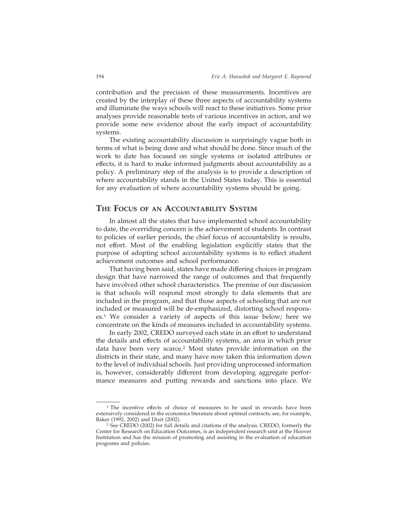contribution and the precision of these measurements. Incentives are created by the interplay of these three aspects of accountability systems and illuminate the ways schools will react to these initiatives. Some prior analyses provide reasonable tests of various incentives in action, and we provide some new evidence about the early impact of accountability systems.

The existing accountability discussion is surprisingly vague both in terms of what is being done and what should be done. Since much of the work to date has focused on single systems or isolated attributes or effects, it is hard to make informed judgments about accountability as a policy. A preliminary step of the analysis is to provide a description of where accountability stands in the United States today. This is essential for any evaluation of where accountability systems should be going.

### **THE FOCUS OF AN ACCOUNTABILITY SYSTEM**

In almost all the states that have implemented school accountability to date, the overriding concern is the achievement of students. In contrast to policies of earlier periods, the chief focus of accountability is results, not effort. Most of the enabling legislation explicitly states that the purpose of adopting school accountability systems is to reflect student achievement outcomes and school performance.

That having been said, states have made differing choices in program design that have narrowed the range of outcomes and that frequently have involved other school characteristics. The premise of our discussion is that schools will respond most strongly to data elements that are included in the program, and that those aspects of schooling that are not included or measured will be de-emphasized, distorting school responses.1 We consider a variety of aspects of this issue below; here we concentrate on the kinds of measures included in accountability systems.

In early 2002, CREDO surveyed each state in an effort to understand the details and effects of accountability systems, an area in which prior data have been very scarce.2 Most states provide information on the districts in their state, and many have now taken this information down to the level of individual schools. Just providing unprocessed information is, however, considerably different from developing aggregate performance measures and putting rewards and sanctions into place. We

<sup>&</sup>lt;sup>1</sup> The incentive effects of choice of measures to be used in rewards have been extensively considered in the economics literature about optimal contracts; see, for example, Baker (1992, 2002) and Dixit (2002).

<sup>2</sup> See CREDO (2002) for full details and citations of the analysis. CREDO, formerly the Center for Research on Education Outcomes, is an independent research unit at the Hoover Institution and has the mission of promoting and assisting in the evaluation of education programs and policies.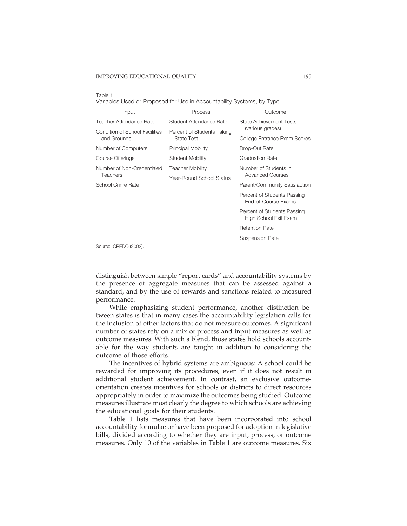Table 1

| Input                          | Process                    | Outcome                                              |
|--------------------------------|----------------------------|------------------------------------------------------|
| Teacher Attendance Rate        | Student Attendance Rate    | State Achievement Tests                              |
| Condition of School Facilities | Percent of Students Taking | (various grades)                                     |
| and Grounds                    | <b>State Test</b>          | College Entrance Exam Scores                         |
| Number of Computers            | <b>Principal Mobility</b>  | Drop-Out Rate                                        |
| Course Offerings               | <b>Student Mobility</b>    | <b>Graduation Rate</b>                               |
| Number of Non-Credentialed     | <b>Teacher Mobility</b>    | Number of Students in                                |
| Teachers                       | Year-Round School Status   | <b>Advanced Courses</b>                              |
| School Crime Rate              |                            | Parent/Community Satisfaction                        |
|                                |                            | Percent of Students Passing<br>End-of-Course Exams   |
|                                |                            | Percent of Students Passing<br>High School Exit Exam |
|                                |                            | <b>Retention Rate</b>                                |
|                                |                            | Suspension Rate                                      |
| Source: CREDO (2002).          |                            |                                                      |

distinguish between simple "report cards" and accountability systems by the presence of aggregate measures that can be assessed against a standard, and by the use of rewards and sanctions related to measured performance.

While emphasizing student performance, another distinction between states is that in many cases the accountability legislation calls for the inclusion of other factors that do not measure outcomes. A significant number of states rely on a mix of process and input measures as well as outcome measures. With such a blend, those states hold schools accountable for the way students are taught in addition to considering the outcome of those efforts.

The incentives of hybrid systems are ambiguous: A school could be rewarded for improving its procedures, even if it does not result in additional student achievement. In contrast, an exclusive outcomeorientation creates incentives for schools or districts to direct resources appropriately in order to maximize the outcomes being studied. Outcome measures illustrate most clearly the degree to which schools are achieving the educational goals for their students.

Table 1 lists measures that have been incorporated into school accountability formulae or have been proposed for adoption in legislative bills, divided according to whether they are input, process, or outcome measures. Only 10 of the variables in Table 1 are outcome measures. Six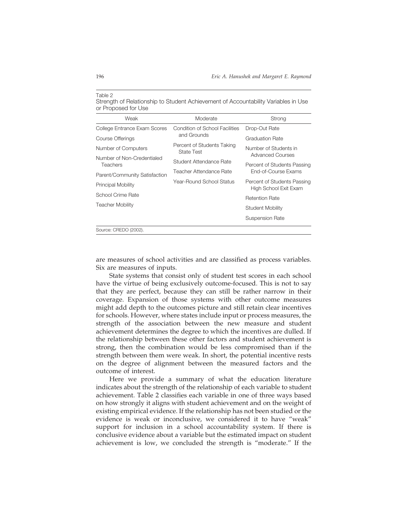#### Table 2

Strength of Relationship to Student Achievement of Accountability Variables in Use or Proposed for Use

| Weak                                   | Moderate                                 | Strong                                               |  |
|----------------------------------------|------------------------------------------|------------------------------------------------------|--|
| College Entrance Exam Scores           | Condition of School Facilities           | Drop-Out Rate                                        |  |
| Course Offerings                       | and Grounds                              | <b>Graduation Rate</b>                               |  |
| Number of Computers                    | Percent of Students Taking<br>State Test | Number of Students in<br><b>Advanced Courses</b>     |  |
| Number of Non-Credentialed<br>Teachers | Student Attendance Rate                  | Percent of Students Passing                          |  |
| Parent/Community Satisfaction          | Teacher Attendance Rate                  | End-of-Course Exams                                  |  |
| Principal Mobility                     | Year-Round School Status                 | Percent of Students Passing<br>High School Exit Exam |  |
| School Crime Rate                      |                                          | <b>Retention Rate</b>                                |  |
| <b>Teacher Mobility</b>                |                                          | Student Mobility                                     |  |
|                                        |                                          | Suspension Rate                                      |  |
| Source: CREDO (2002).                  |                                          |                                                      |  |

are measures of school activities and are classified as process variables. Six are measures of inputs.

State systems that consist only of student test scores in each school have the virtue of being exclusively outcome-focused. This is not to say that they are perfect, because they can still be rather narrow in their coverage. Expansion of those systems with other outcome measures might add depth to the outcomes picture and still retain clear incentives for schools. However, where states include input or process measures, the strength of the association between the new measure and student achievement determines the degree to which the incentives are dulled. If the relationship between these other factors and student achievement is strong, then the combination would be less compromised than if the strength between them were weak. In short, the potential incentive rests on the degree of alignment between the measured factors and the outcome of interest.

Here we provide a summary of what the education literature indicates about the strength of the relationship of each variable to student achievement. Table 2 classifies each variable in one of three ways based on how strongly it aligns with student achievement and on the weight of existing empirical evidence. If the relationship has not been studied or the evidence is weak or inconclusive, we considered it to have "weak" support for inclusion in a school accountability system. If there is conclusive evidence about a variable but the estimated impact on student achievement is low, we concluded the strength is "moderate." If the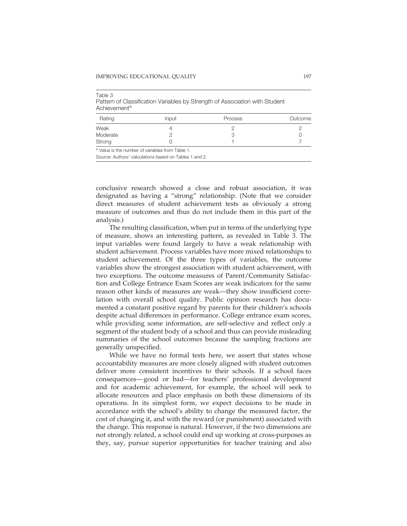| .        |                                                |         |         |
|----------|------------------------------------------------|---------|---------|
| Rating   | <b>Input</b>                                   | Process | Outcome |
| Weak     |                                                |         |         |
| Moderate |                                                |         |         |
| Strong   |                                                |         |         |
|          | a Volupie the number of variables from Table 1 |         |         |

Table 3 Pattern of Classification Variables by Strength of Association with Student Achievement<sup>a</sup>

is the number of variabl

Source: Authors' calculations based on Tables 1 and 2.

conclusive research showed a close and robust association, it was designated as having a "strong" relationship. (Note that we consider direct measures of student achievement tests as obviously a strong measure of outcomes and thus do not include them in this part of the analysis.)

The resulting classification, when put in terms of the underlying type of measure, shows an interesting pattern, as revealed in Table 3. The input variables were found largely to have a weak relationship with student achievement. Process variables have more mixed relationships to student achievement. Of the three types of variables, the outcome variables show the strongest association with student achievement, with two exceptions. The outcome measures of Parent/Community Satisfaction and College Entrance Exam Scores are weak indicators for the same reason other kinds of measures are weak—they show insufficient correlation with overall school quality. Public opinion research has documented a constant positive regard by parents for their children's schools despite actual differences in performance. College entrance exam scores, while providing some information, are self-selective and reflect only a segment of the student body of a school and thus can provide misleading summaries of the school outcomes because the sampling fractions are generally unspecified.

While we have no formal tests here, we assert that states whose accountability measures are more closely aligned with student outcomes deliver more consistent incentives to their schools. If a school faces consequences— good or bad—for teachers' professional development and for academic achievement, for example, the school will seek to allocate resources and place emphasis on both these dimensions of its operations. In its simplest form, we expect decisions to be made in accordance with the school's ability to change the measured factor, the cost of changing it, and with the reward (or punishment) associated with the change. This response is natural. However, if the two dimensions are not strongly related, a school could end up working at cross-purposes as they, say, pursue superior opportunities for teacher training and also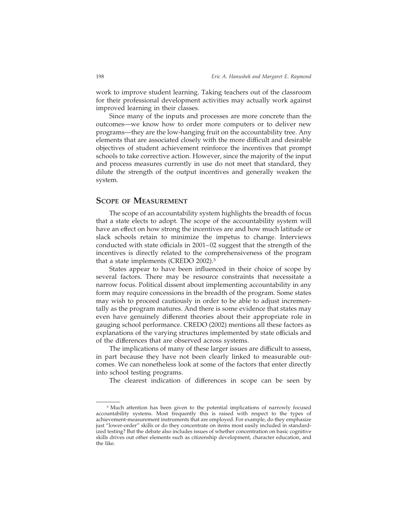work to improve student learning. Taking teachers out of the classroom for their professional development activities may actually work against improved learning in their classes.

Since many of the inputs and processes are more concrete than the outcomes—we know how to order more computers or to deliver new programs—they are the low-hanging fruit on the accountability tree. Any elements that are associated closely with the more difficult and desirable objectives of student achievement reinforce the incentives that prompt schools to take corrective action. However, since the majority of the input and process measures currently in use do not meet that standard, they dilute the strength of the output incentives and generally weaken the system.

### **SCOPE OF MEASUREMENT**

The scope of an accountability system highlights the breadth of focus that a state elects to adopt. The scope of the accountability system will have an effect on how strong the incentives are and how much latitude or slack schools retain to minimize the impetus to change. Interviews conducted with state officials in 2001– 02 suggest that the strength of the incentives is directly related to the comprehensiveness of the program that a state implements (CREDO 2002).3

States appear to have been influenced in their choice of scope by several factors. There may be resource constraints that necessitate a narrow focus. Political dissent about implementing accountability in any form may require concessions in the breadth of the program. Some states may wish to proceed cautiously in order to be able to adjust incrementally as the program matures. And there is some evidence that states may even have genuinely different theories about their appropriate role in gauging school performance. CREDO (2002) mentions all these factors as explanations of the varying structures implemented by state officials and of the differences that are observed across systems.

The implications of many of these larger issues are difficult to assess, in part because they have not been clearly linked to measurable outcomes. We can nonetheless look at some of the factors that enter directly into school testing programs.

The clearest indication of differences in scope can be seen by

<sup>&</sup>lt;sup>3</sup> Much attention has been given to the potential implications of narrowly focused accountability systems. Most frequently this is raised with respect to the types of achievement-measurement instruments that are employed. For example, do they emphasize just "lower-order" skills or do they concentrate on items most easily included in standardized testing? But the debate also includes issues of whether concentration on basic cognitive skills drives out other elements such as citizenship development, character education, and the like.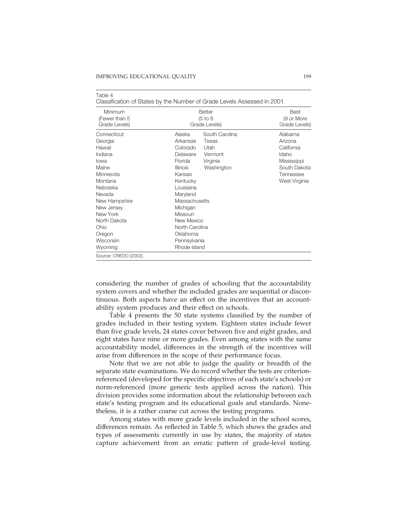Table 4

|                                           | Classification of States by the Number of Grade Levels Assessed in 200 f |                                            |  |
|-------------------------------------------|--------------------------------------------------------------------------|--------------------------------------------|--|
| Minimum<br>(Fewer than 5<br>Grade Levels) | <b>Better</b><br>(5 to 8)<br>Grade Levels)                               | <b>Best</b><br>(9 or More<br>Grade Levels) |  |
| Connecticut                               | South Carolina<br>Alaska                                                 | Alabama                                    |  |
| Georgia                                   | Arkansas<br>Texas                                                        | Arizona                                    |  |
| Hawaii                                    | Colorado<br>Utah                                                         | California                                 |  |
| Indiana                                   | Delaware<br>Vermont                                                      | Idaho                                      |  |
| lowa                                      | Florida<br>Virginia                                                      | Mississippi                                |  |
| Maine                                     | <b>Illinois</b><br>Washington                                            | South Dakota                               |  |
| Minnesota                                 | Kansas                                                                   | Tennessee                                  |  |
| Montana                                   | Kentucky                                                                 | West Virginia                              |  |
| Nebraska                                  | Louisiana                                                                |                                            |  |
| Nevada                                    | Maryland                                                                 |                                            |  |
| New Hampshire                             | Massachusetts                                                            |                                            |  |
| New Jersey                                | Michigan                                                                 |                                            |  |
| New York                                  | Missouri                                                                 |                                            |  |
| North Dakota                              | New Mexico                                                               |                                            |  |
| Ohio                                      | North Carolina                                                           |                                            |  |
| Oregon                                    | Oklahoma                                                                 |                                            |  |
| Wisconsin                                 | Pennsylvania                                                             |                                            |  |
| Wyoming                                   | Rhode Island                                                             |                                            |  |
| Source: CREDO (2002).                     |                                                                          |                                            |  |

| Classification of States by the Number of Grade Levels Assessed in 2001 |  |
|-------------------------------------------------------------------------|--|

considering the number of grades of schooling that the accountability system covers and whether the included grades are sequential or discontinuous. Both aspects have an effect on the incentives that an accountability system produces and their effect on schools.

Table 4 presents the 50 state systems classified by the number of grades included in their testing system. Eighteen states include fewer than five grade levels, 24 states cover between five and eight grades, and eight states have nine or more grades. Even among states with the same accountability model, differences in the strength of the incentives will arise from differences in the scope of their performance focus.

Note that we are not able to judge the quality or breadth of the separate state examinations. We do record whether the tests are criterionreferenced (developed for the specific objectives of each state's schools) or norm-referenced (more generic tests applied across the nation). This division provides some information about the relationship between each state's testing program and its educational goals and standards. Nonetheless, it is a rather coarse cut across the testing programs.

Among states with more grade levels included in the school scores, differences remain. As reflected in Table 5, which shows the grades and types of assessments currently in use by states, the majority of states capture achievement from an erratic pattern of grade-level testing.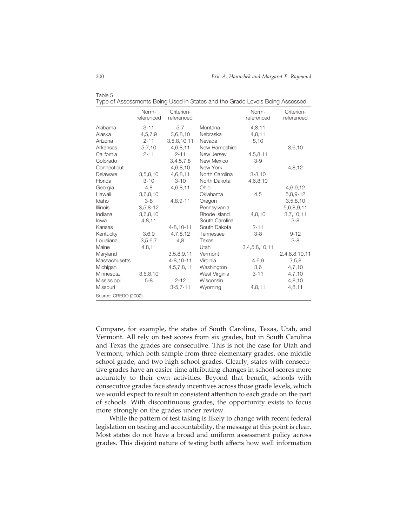| Alabama                       | $3 - 11$<br>4,5,7,9<br>$2 - 11$<br>5,7,10 | $5 - 7$<br>3,6,8,10<br>3,5,8,10,11 | Montana<br>Nebraska | 4,8,11        |               |
|-------------------------------|-------------------------------------------|------------------------------------|---------------------|---------------|---------------|
| Alaska<br>Arizona<br>Arkansas |                                           |                                    |                     |               |               |
|                               |                                           |                                    |                     | 4, 8, 11      |               |
|                               |                                           |                                    | Nevada              | 8,10          |               |
|                               |                                           | 4,6,8,11                           | New Hampshire       |               | 3,6,10        |
| California                    | $2 - 11$                                  | $2 - 11$                           | New Jersey          | 4,5,8,11      |               |
| Colorado                      |                                           | 3,4,5,7,8                          | New Mexico          | $3-9$         |               |
| Connecticut                   |                                           | 4,6,8,10                           | New York            |               | 4,8,12        |
| Delaware                      | 3,5,8,10                                  | 4,6,8,11                           | North Carolina      | $3 - 8,10$    |               |
| Florida                       | $3 - 10$                                  | $3 - 10$                           | North Dakota        | 4,6,8,10      |               |
| Georgia                       | 4,8                                       | 4,6,8,11                           | Ohio                |               | 4,6,9,12      |
| Hawaii                        | 3,6,8,10                                  |                                    | Oklahoma            | 4,5           | 5,8,9-12      |
| Idaho                         | $3 - 8$                                   | 4,8,9-11                           | Oregon              |               | 3,5,8,10      |
| Illinois                      | $3,5,8-12$                                |                                    | Pennsylvania        |               | 5,6,8,9,11    |
| Indiana                       | 3,6,8,10                                  |                                    | Rhode Island        | 4,8,10        | 3,7,10,11     |
| lowa                          | 4,8,11                                    |                                    | South Carolina      |               | $3 - 8$       |
| Kansas                        |                                           | $4 - 8, 10 - 11$                   | South Dakota        | $2 - 11$      |               |
| Kentucky                      | 3,6,9                                     | 4,7,8,12                           | Tennessee           | $3-8$         | $9 - 12$      |
| Louisiana                     | 3,5,6,7                                   | 4.8                                | Texas               |               | $3 - 8$       |
| Maine                         | 4,8,11                                    |                                    | Utah                | 3,4,5,8,10,11 |               |
| Maryland                      |                                           | 3,5,8,9,11                         | Vermont             |               | 2,4,6,8,10,11 |
| Massachusetts                 |                                           | $4 - 8, 10 - 11$                   | Virginia            | 4,6,9         | 3,5,8         |
| Michigan                      |                                           | 4,5,7,8,11                         | Washington          | 3,6           | 4,7,10        |
| Minnesota                     | 3,5,8,10                                  |                                    | West Virginia       | $3 - 11$      | 4,7,10        |
| Mississippi                   | $5 - 8$                                   | $2 - 12$                           | Wisconsin           |               | 4,8,10        |
| Missouri                      |                                           | $3 - 5, 7 - 11$                    | Wyoming             | 4,8,11        | 4,8,11        |

Table 5

Type of Assessments Being Used in States and the Grade Levels Being Assessed

Compare, for example, the states of South Carolina, Texas, Utah, and Vermont. All rely on test scores from six grades, but in South Carolina and Texas the grades are consecutive. This is not the case for Utah and Vermont, which both sample from three elementary grades, one middle school grade, and two high school grades. Clearly, states with consecutive grades have an easier time attributing changes in school scores more accurately to their own activities. Beyond that benefit, schools with consecutive grades face steady incentives across those grade levels, which we would expect to result in consistent attention to each grade on the part of schools. With discontinuous grades, the opportunity exists to focus more strongly on the grades under review.

While the pattern of test taking is likely to change with recent federal legislation on testing and accountability, the message at this point is clear. Most states do not have a broad and uniform assessment policy across grades. This disjoint nature of testing both affects how well information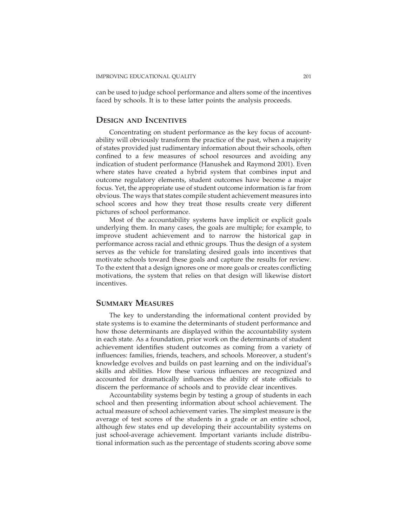can be used to judge school performance and alters some of the incentives faced by schools. It is to these latter points the analysis proceeds.

### **DESIGN AND INCENTIVES**

Concentrating on student performance as the key focus of accountability will obviously transform the practice of the past, when a majority of states provided just rudimentary information about their schools, often confined to a few measures of school resources and avoiding any indication of student performance (Hanushek and Raymond 2001). Even where states have created a hybrid system that combines input and outcome regulatory elements, student outcomes have become a major focus. Yet, the appropriate use of student outcome information is far from obvious. The ways that states compile student achievement measures into school scores and how they treat those results create very different pictures of school performance.

Most of the accountability systems have implicit or explicit goals underlying them. In many cases, the goals are multiple; for example, to improve student achievement and to narrow the historical gap in performance across racial and ethnic groups. Thus the design of a system serves as the vehicle for translating desired goals into incentives that motivate schools toward these goals and capture the results for review. To the extent that a design ignores one or more goals or creates conflicting motivations, the system that relies on that design will likewise distort incentives.

## **SUMMARY MEASURES**

The key to understanding the informational content provided by state systems is to examine the determinants of student performance and how those determinants are displayed within the accountability system in each state. As a foundation, prior work on the determinants of student achievement identifies student outcomes as coming from a variety of influences: families, friends, teachers, and schools. Moreover, a student's knowledge evolves and builds on past learning and on the individual's skills and abilities. How these various influences are recognized and accounted for dramatically influences the ability of state officials to discern the performance of schools and to provide clear incentives.

Accountability systems begin by testing a group of students in each school and then presenting information about school achievement. The actual measure of school achievement varies. The simplest measure is the average of test scores of the students in a grade or an entire school, although few states end up developing their accountability systems on just school-average achievement. Important variants include distributional information such as the percentage of students scoring above some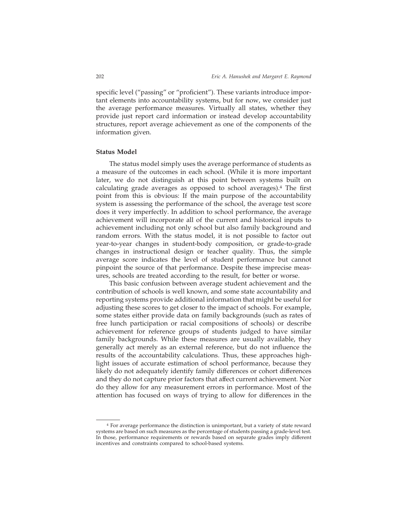specific level ("passing" or "proficient"). These variants introduce important elements into accountability systems, but for now, we consider just the average performance measures. Virtually all states, whether they provide just report card information or instead develop accountability structures, report average achievement as one of the components of the information given.

### **Status Model**

The status model simply uses the average performance of students as a measure of the outcomes in each school. (While it is more important later, we do not distinguish at this point between systems built on calculating grade averages as opposed to school averages).4 The first point from this is obvious: If the main purpose of the accountability system is assessing the performance of the school, the average test score does it very imperfectly. In addition to school performance, the average achievement will incorporate all of the current and historical inputs to achievement including not only school but also family background and random errors. With the status model, it is not possible to factor out year-to-year changes in student-body composition, or grade-to-grade changes in instructional design or teacher quality. Thus, the simple average score indicates the level of student performance but cannot pinpoint the source of that performance. Despite these imprecise measures, schools are treated according to the result, for better or worse.

This basic confusion between average student achievement and the contribution of schools is well known, and some state accountability and reporting systems provide additional information that might be useful for adjusting these scores to get closer to the impact of schools. For example, some states either provide data on family backgrounds (such as rates of free lunch participation or racial compositions of schools) or describe achievement for reference groups of students judged to have similar family backgrounds. While these measures are usually available, they generally act merely as an external reference, but do not influence the results of the accountability calculations. Thus, these approaches highlight issues of accurate estimation of school performance, because they likely do not adequately identify family differences or cohort differences and they do not capture prior factors that affect current achievement. Nor do they allow for any measurement errors in performance. Most of the attention has focused on ways of trying to allow for differences in the

<sup>4</sup> For average performance the distinction is unimportant, but a variety of state reward systems are based on such measures as the percentage of students passing a grade-level test. In those, performance requirements or rewards based on separate grades imply different incentives and constraints compared to school-based systems.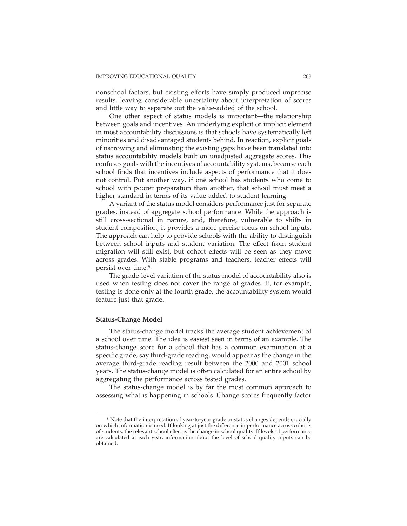nonschool factors, but existing efforts have simply produced imprecise results, leaving considerable uncertainty about interpretation of scores and little way to separate out the value-added of the school.

One other aspect of status models is important—the relationship between goals and incentives. An underlying explicit or implicit element in most accountability discussions is that schools have systematically left minorities and disadvantaged students behind. In reaction, explicit goals of narrowing and eliminating the existing gaps have been translated into status accountability models built on unadjusted aggregate scores. This confuses goals with the incentives of accountability systems, because each school finds that incentives include aspects of performance that it does not control. Put another way, if one school has students who come to school with poorer preparation than another, that school must meet a higher standard in terms of its value-added to student learning.

A variant of the status model considers performance just for separate grades, instead of aggregate school performance. While the approach is still cross-sectional in nature, and, therefore, vulnerable to shifts in student composition, it provides a more precise focus on school inputs. The approach can help to provide schools with the ability to distinguish between school inputs and student variation. The effect from student migration will still exist, but cohort effects will be seen as they move across grades. With stable programs and teachers, teacher effects will persist over time.5

The grade-level variation of the status model of accountability also is used when testing does not cover the range of grades. If, for example, testing is done only at the fourth grade, the accountability system would feature just that grade.

### **Status-Change Model**

The status-change model tracks the average student achievement of a school over time. The idea is easiest seen in terms of an example. The status-change score for a school that has a common examination at a specific grade, say third-grade reading, would appear as the change in the average third-grade reading result between the 2000 and 2001 school years. The status-change model is often calculated for an entire school by aggregating the performance across tested grades.

The status-change model is by far the most common approach to assessing what is happening in schools. Change scores frequently factor

<sup>5</sup> Note that the interpretation of year-to-year grade or status changes depends crucially on which information is used. If looking at just the difference in performance across cohorts of students, the relevant school effect is the change in school quality. If levels of performance are calculated at each year, information about the level of school quality inputs can be obtained.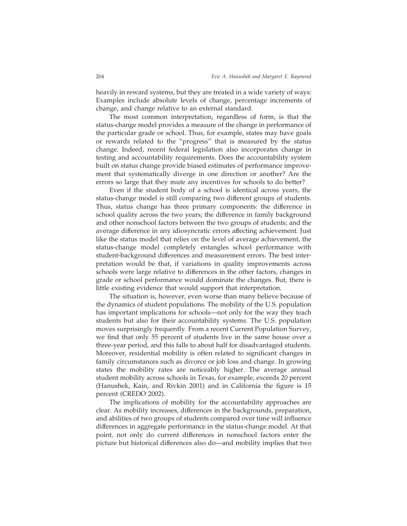heavily in reward systems, but they are treated in a wide variety of ways: Examples include absolute levels of change, percentage increments of change, and change relative to an external standard.

The most common interpretation, regardless of form, is that the status-change model provides a measure of the change in performance of the particular grade or school. Thus, for example, states may have goals or rewards related to the "progress" that is measured by the status change. Indeed, recent federal legislation also incorporates change in testing and accountability requirements. Does the accountability system built on status change provide biased estimates of performance improvement that systematically diverge in one direction or another? Are the errors so large that they mute any incentives for schools to do better?

Even if the student body of a school is identical across years, the status-change model is still comparing two different groups of students. Thus, status change has three primary components: the difference in school quality across the two years; the difference in family background and other nonschool factors between the two groups of students; and the average difference in any idiosyncratic errors affecting achievement. Just like the status model that relies on the level of average achievement, the status-change model completely entangles school performance with student-background differences and measurement errors. The best interpretation would be that, if variations in quality improvements across schools were large relative to differences in the other factors, changes in grade or school performance would dominate the changes. But, there is little existing evidence that would support that interpretation.

The situation is, however, even worse than many believe because of the dynamics of student populations. The mobility of the U.S. population has important implications for schools—not only for the way they teach students but also for their accountability systems. The U.S. population moves surprisingly frequently. From a recent Current Population Survey, we find that only 55 percent of students live in the same house over a three-year period, and this falls to about half for disadvantaged students. Moreover, residential mobility is often related to significant changes in family circumstances such as divorce or job loss and change. In growing states the mobility rates are noticeably higher. The average annual student mobility across schools in Texas, for example, exceeds 20 percent (Hanushek, Kain, and Rivkin 2001) and in California the figure is 15 percent (CREDO 2002).

The implications of mobility for the accountability approaches are clear. As mobility increases, differences in the backgrounds, preparation, and abilities of two groups of students compared over time will influence differences in aggregate performance in the status-change model. At that point, not only do current differences in nonschool factors enter the picture but historical differences also do—and mobility implies that two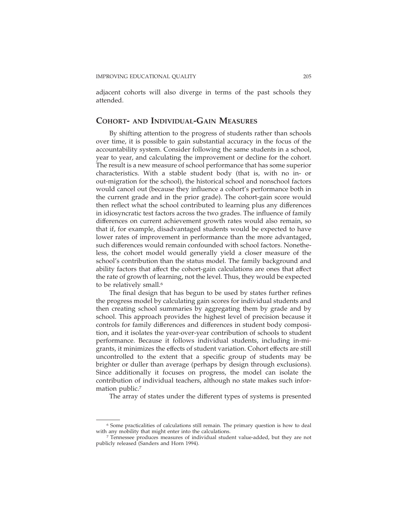adjacent cohorts will also diverge in terms of the past schools they attended.

### **COHORT- AND INDIVIDUAL-GAIN MEASURES**

By shifting attention to the progress of students rather than schools over time, it is possible to gain substantial accuracy in the focus of the accountability system. Consider following the same students in a school, year to year, and calculating the improvement or decline for the cohort. The result is a new measure of school performance that has some superior characteristics. With a stable student body (that is, with no in- or out-migration for the school), the historical school and nonschool factors would cancel out (because they influence a cohort's performance both in the current grade and in the prior grade). The cohort-gain score would then reflect what the school contributed to learning plus any differences in idiosyncratic test factors across the two grades. The influence of family differences on current achievement growth rates would also remain, so that if, for example, disadvantaged students would be expected to have lower rates of improvement in performance than the more advantaged, such differences would remain confounded with school factors. Nonetheless, the cohort model would generally yield a closer measure of the school's contribution than the status model. The family background and ability factors that affect the cohort-gain calculations are ones that affect the rate of growth of learning, not the level. Thus, they would be expected to be relatively small.<sup>6</sup>

The final design that has begun to be used by states further refines the progress model by calculating gain scores for individual students and then creating school summaries by aggregating them by grade and by school. This approach provides the highest level of precision because it controls for family differences and differences in student body composition, and it isolates the year-over-year contribution of schools to student performance. Because it follows individual students, including in-migrants, it minimizes the effects of student variation. Cohort effects are still uncontrolled to the extent that a specific group of students may be brighter or duller than average (perhaps by design through exclusions). Since additionally it focuses on progress, the model can isolate the contribution of individual teachers, although no state makes such information public.7

The array of states under the different types of systems is presented

<sup>6</sup> Some practicalities of calculations still remain. The primary question is how to deal with any mobility that might enter into the calculations.

<sup>7</sup> Tennessee produces measures of individual student value-added, but they are not publicly released (Sanders and Horn 1994).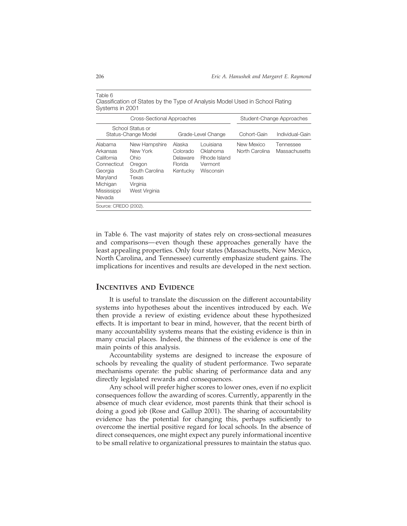| Systems in 2001                                                                                              | <u>URBOILIURIUL ULURCU DY LIIU TYDU ULULIAIVOIS IVIUUUI USUU III UULIUUL LAHIIIY</u>                |                                                       |                                                               |                              |                            |
|--------------------------------------------------------------------------------------------------------------|-----------------------------------------------------------------------------------------------------|-------------------------------------------------------|---------------------------------------------------------------|------------------------------|----------------------------|
| <b>Cross-Sectional Approaches</b>                                                                            |                                                                                                     |                                                       | Student-Change Approaches                                     |                              |                            |
| School Status or<br>Status-Change Model<br>Grade-Level Change                                                |                                                                                                     | Cohort-Gain                                           | Individual-Gain                                               |                              |                            |
| Alabama<br>Arkansas<br>California<br>Connecticut<br>Georgia<br>Maryland<br>Michigan<br>Mississippi<br>Nevada | New Hampshire<br>New York<br>Ohio<br>Oregon<br>South Carolina<br>Texas<br>Virginia<br>West Virginia | Alaska<br>Colorado<br>Delaware<br>Florida<br>Kentucky | Louisiana<br>Oklahoma<br>Rhode Island<br>Vermont<br>Wisconsin | New Mexico<br>North Carolina | Tennessee<br>Massachusetts |
| Source: CREDO (2002).                                                                                        |                                                                                                     |                                                       |                                                               |                              |                            |

Table 6 Classification of States by the Type of Analysis Model Used in School Rating

in Table 6. The vast majority of states rely on cross-sectional measures and comparisons— even though these approaches generally have the least appealing properties. Only four states (Massachusetts, New Mexico, North Carolina, and Tennessee) currently emphasize student gains. The implications for incentives and results are developed in the next section.

## **INCENTIVES AND EVIDENCE**

It is useful to translate the discussion on the different accountability systems into hypotheses about the incentives introduced by each. We then provide a review of existing evidence about these hypothesized effects. It is important to bear in mind, however, that the recent birth of many accountability systems means that the existing evidence is thin in many crucial places. Indeed, the thinness of the evidence is one of the main points of this analysis.

Accountability systems are designed to increase the exposure of schools by revealing the quality of student performance. Two separate mechanisms operate: the public sharing of performance data and any directly legislated rewards and consequences.

Any school will prefer higher scores to lower ones, even if no explicit consequences follow the awarding of scores. Currently, apparently in the absence of much clear evidence, most parents think that their school is doing a good job (Rose and Gallup 2001). The sharing of accountability evidence has the potential for changing this, perhaps sufficiently to overcome the inertial positive regard for local schools. In the absence of direct consequences, one might expect any purely informational incentive to be small relative to organizational pressures to maintain the status quo.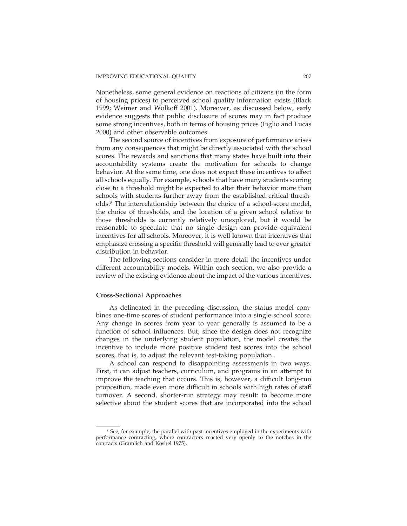Nonetheless, some general evidence on reactions of citizens (in the form of housing prices) to perceived school quality information exists (Black 1999; Weimer and Wolkoff 2001). Moreover, as discussed below, early evidence suggests that public disclosure of scores may in fact produce some strong incentives, both in terms of housing prices (Figlio and Lucas 2000) and other observable outcomes.

The second source of incentives from exposure of performance arises from any consequences that might be directly associated with the school scores. The rewards and sanctions that many states have built into their accountability systems create the motivation for schools to change behavior. At the same time, one does not expect these incentives to affect all schools equally. For example, schools that have many students scoring close to a threshold might be expected to alter their behavior more than schools with students further away from the established critical thresholds.8 The interrelationship between the choice of a school-score model, the choice of thresholds, and the location of a given school relative to those thresholds is currently relatively unexplored, but it would be reasonable to speculate that no single design can provide equivalent incentives for all schools. Moreover, it is well known that incentives that emphasize crossing a specific threshold will generally lead to ever greater distribution in behavior.

The following sections consider in more detail the incentives under different accountability models. Within each section, we also provide a review of the existing evidence about the impact of the various incentives.

### **Cross-Sectional Approaches**

As delineated in the preceding discussion, the status model combines one-time scores of student performance into a single school score. Any change in scores from year to year generally is assumed to be a function of school influences. But, since the design does not recognize changes in the underlying student population, the model creates the incentive to include more positive student test scores into the school scores, that is, to adjust the relevant test-taking population.

A school can respond to disappointing assessments in two ways. First, it can adjust teachers, curriculum, and programs in an attempt to improve the teaching that occurs. This is, however, a difficult long-run proposition, made even more difficult in schools with high rates of staff turnover. A second, shorter-run strategy may result: to become more selective about the student scores that are incorporated into the school

<sup>&</sup>lt;sup>8</sup> See, for example, the parallel with past incentives employed in the experiments with performance contracting, where contractors reacted very openly to the notches in the contracts (Gramlich and Koshel 1975).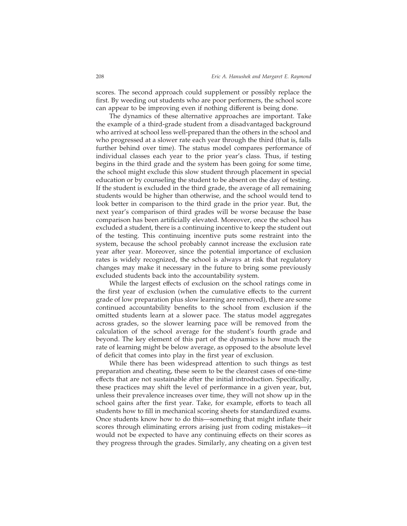scores. The second approach could supplement or possibly replace the first. By weeding out students who are poor performers, the school score can appear to be improving even if nothing different is being done.

The dynamics of these alternative approaches are important. Take the example of a third-grade student from a disadvantaged background who arrived at school less well-prepared than the others in the school and who progressed at a slower rate each year through the third (that is, falls further behind over time). The status model compares performance of individual classes each year to the prior year's class. Thus, if testing begins in the third grade and the system has been going for some time, the school might exclude this slow student through placement in special education or by counseling the student to be absent on the day of testing. If the student is excluded in the third grade, the average of all remaining students would be higher than otherwise, and the school would tend to look better in comparison to the third grade in the prior year. But, the next year's comparison of third grades will be worse because the base comparison has been artificially elevated. Moreover, once the school has excluded a student, there is a continuing incentive to keep the student out of the testing. This continuing incentive puts some restraint into the system, because the school probably cannot increase the exclusion rate year after year. Moreover, since the potential importance of exclusion rates is widely recognized, the school is always at risk that regulatory changes may make it necessary in the future to bring some previously excluded students back into the accountability system.

While the largest effects of exclusion on the school ratings come in the first year of exclusion (when the cumulative effects to the current grade of low preparation plus slow learning are removed), there are some continued accountability benefits to the school from exclusion if the omitted students learn at a slower pace. The status model aggregates across grades, so the slower learning pace will be removed from the calculation of the school average for the student's fourth grade and beyond. The key element of this part of the dynamics is how much the rate of learning might be below average, as opposed to the absolute level of deficit that comes into play in the first year of exclusion.

While there has been widespread attention to such things as test preparation and cheating, these seem to be the clearest cases of one-time effects that are not sustainable after the initial introduction. Specifically, these practices may shift the level of performance in a given year, but, unless their prevalence increases over time, they will not show up in the school gains after the first year. Take, for example, efforts to teach all students how to fill in mechanical scoring sheets for standardized exams. Once students know how to do this—something that might inflate their scores through eliminating errors arising just from coding mistakes—it would not be expected to have any continuing effects on their scores as they progress through the grades. Similarly, any cheating on a given test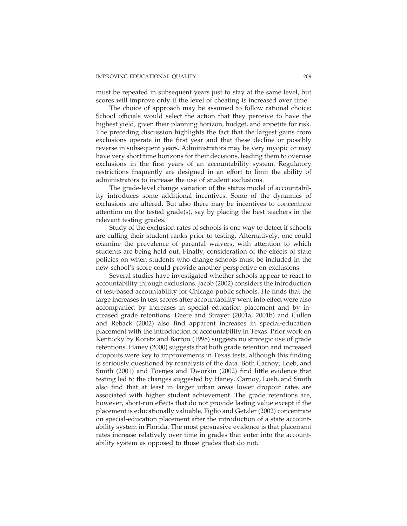must be repeated in subsequent years just to stay at the same level, but scores will improve only if the level of cheating is increased over time.

The choice of approach may be assumed to follow rational choice: School officials would select the action that they perceive to have the highest yield, given their planning horizon, budget, and appetite for risk. The preceding discussion highlights the fact that the largest gains from exclusions operate in the first year and that these decline or possibly reverse in subsequent years. Administrators may be very myopic or may have very short time horizons for their decisions, leading them to overuse exclusions in the first years of an accountability system. Regulatory restrictions frequently are designed in an effort to limit the ability of administrators to increase the use of student exclusions.

The grade-level change variation of the status model of accountability introduces some additional incentives. Some of the dynamics of exclusions are altered. But also there may be incentives to concentrate attention on the tested grade(s), say by placing the best teachers in the relevant testing grades.

Study of the exclusion rates of schools is one way to detect if schools are culling their student ranks prior to testing. Alternatively, one could examine the prevalence of parental waivers, with attention to which students are being held out. Finally, consideration of the effects of state policies on when students who change schools must be included in the new school's score could provide another perspective on exclusions.

Several studies have investigated whether schools appear to react to accountability through exclusions. Jacob (2002) considers the introduction of test-based accountability for Chicago public schools. He finds that the large increases in test scores after accountability went into effect were also accompanied by increases in special education placement and by increased grade retentions. Deere and Strayer (2001a, 2001b) and Cullen and Reback (2002) also find apparent increases in special-education placement with the introduction of accountability in Texas. Prior work on Kentucky by Koretz and Barron (1998) suggests no strategic use of grade retentions. Haney (2000) suggests that both grade retention and increased dropouts were key to improvements in Texas tests, although this finding is seriously questioned by reanalysis of the data. Both Carnoy, Loeb, and Smith (2001) and Toenjes and Dworkin (2002) find little evidence that testing led to the changes suggested by Haney. Carnoy, Loeb, and Smith also find that at least in larger urban areas lower dropout rates are associated with higher student achievement. The grade retentions are, however, short-run effects that do not provide lasting value except if the placement is educationally valuable. Figlio and Getzler (2002) concentrate on special-education placement after the introduction of a state accountability system in Florida. The most persuasive evidence is that placement rates increase relatively over time in grades that enter into the accountability system as opposed to those grades that do not.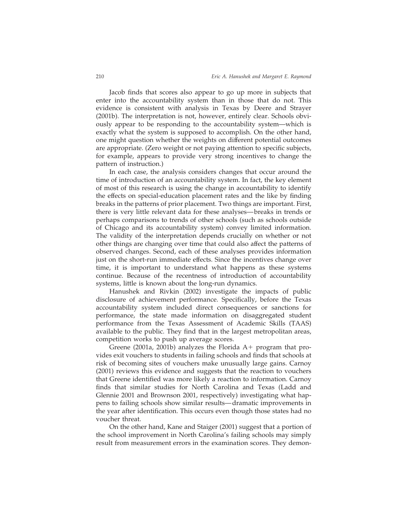Jacob finds that scores also appear to go up more in subjects that enter into the accountability system than in those that do not. This evidence is consistent with analysis in Texas by Deere and Strayer (2001b). The interpretation is not, however, entirely clear. Schools obviously appear to be responding to the accountability system—which is exactly what the system is supposed to accomplish. On the other hand, one might question whether the weights on different potential outcomes are appropriate. (Zero weight or not paying attention to specific subjects, for example, appears to provide very strong incentives to change the pattern of instruction.)

In each case, the analysis considers changes that occur around the time of introduction of an accountability system. In fact, the key element of most of this research is using the change in accountability to identify the effects on special-education placement rates and the like by finding breaks in the patterns of prior placement. Two things are important. First, there is very little relevant data for these analyses— breaks in trends or perhaps comparisons to trends of other schools (such as schools outside of Chicago and its accountability system) convey limited information. The validity of the interpretation depends crucially on whether or not other things are changing over time that could also affect the patterns of observed changes. Second, each of these analyses provides information just on the short-run immediate effects. Since the incentives change over time, it is important to understand what happens as these systems continue. Because of the recentness of introduction of accountability systems, little is known about the long-run dynamics.

Hanushek and Rivkin (2002) investigate the impacts of public disclosure of achievement performance. Specifically, before the Texas accountability system included direct consequences or sanctions for performance, the state made information on disaggregated student performance from the Texas Assessment of Academic Skills (TAAS) available to the public. They find that in the largest metropolitan areas, competition works to push up average scores.

Greene (2001a, 2001b) analyzes the Florida  $A+$  program that provides exit vouchers to students in failing schools and finds that schools at risk of becoming sites of vouchers make unusually large gains. Carnoy (2001) reviews this evidence and suggests that the reaction to vouchers that Greene identified was more likely a reaction to information. Carnoy finds that similar studies for North Carolina and Texas (Ladd and Glennie 2001 and Brownson 2001, respectively) investigating what happens to failing schools show similar results—dramatic improvements in the year after identification. This occurs even though those states had no voucher threat.

On the other hand, Kane and Staiger (2001) suggest that a portion of the school improvement in North Carolina's failing schools may simply result from measurement errors in the examination scores. They demon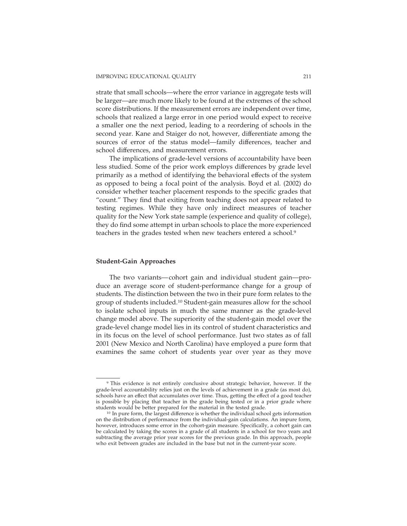strate that small schools—where the error variance in aggregate tests will be larger—are much more likely to be found at the extremes of the school score distributions. If the measurement errors are independent over time, schools that realized a large error in one period would expect to receive a smaller one the next period, leading to a reordering of schools in the second year. Kane and Staiger do not, however, differentiate among the sources of error of the status model—family differences, teacher and school differences, and measurement errors.

The implications of grade-level versions of accountability have been less studied. Some of the prior work employs differences by grade level primarily as a method of identifying the behavioral effects of the system as opposed to being a focal point of the analysis. Boyd et al. (2002) do consider whether teacher placement responds to the specific grades that "count." They find that exiting from teaching does not appear related to testing regimes. While they have only indirect measures of teacher quality for the New York state sample (experience and quality of college), they do find some attempt in urban schools to place the more experienced teachers in the grades tested when new teachers entered a school.<sup>9</sup>

#### **Student-Gain Approaches**

The two variants— cohort gain and individual student gain—produce an average score of student-performance change for a group of students. The distinction between the two in their pure form relates to the group of students included.10 Student-gain measures allow for the school to isolate school inputs in much the same manner as the grade-level change model above. The superiority of the student-gain model over the grade-level change model lies in its control of student characteristics and in its focus on the level of school performance. Just two states as of fall 2001 (New Mexico and North Carolina) have employed a pure form that examines the same cohort of students year over year as they move

<sup>9</sup> This evidence is not entirely conclusive about strategic behavior, however. If the grade-level accountability relies just on the levels of achievement in a grade (as most do), schools have an effect that accumulates over time. Thus, getting the effect of a good teacher is possible by placing that teacher in the grade being tested or in a prior grade where students would be better prepared for the material in the tested grade.

<sup>&</sup>lt;sup>10</sup> In pure form, the largest difference is whether the individual school gets information on the distribution of performance from the individual-gain calculations. An impure form, however, introduces some error in the cohort-gain measure. Specifically, a cohort gain can be calculated by taking the scores in a grade of all students in a school for two years and subtracting the average prior year scores for the previous grade. In this approach, people who exit between grades are included in the base but not in the current-year score.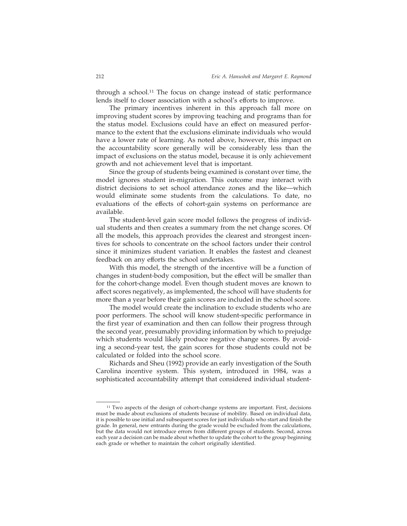through a school.<sup>11</sup> The focus on change instead of static performance lends itself to closer association with a school's efforts to improve.

The primary incentives inherent in this approach fall more on improving student scores by improving teaching and programs than for the status model. Exclusions could have an effect on measured performance to the extent that the exclusions eliminate individuals who would have a lower rate of learning. As noted above, however, this impact on the accountability score generally will be considerably less than the impact of exclusions on the status model, because it is only achievement growth and not achievement level that is important.

Since the group of students being examined is constant over time, the model ignores student in-migration. This outcome may interact with district decisions to set school attendance zones and the like—which would eliminate some students from the calculations. To date, no evaluations of the effects of cohort-gain systems on performance are available.

The student-level gain score model follows the progress of individual students and then creates a summary from the net change scores. Of all the models, this approach provides the clearest and strongest incentives for schools to concentrate on the school factors under their control since it minimizes student variation. It enables the fastest and cleanest feedback on any efforts the school undertakes.

With this model, the strength of the incentive will be a function of changes in student-body composition, but the effect will be smaller than for the cohort-change model. Even though student moves are known to affect scores negatively, as implemented, the school will have students for more than a year before their gain scores are included in the school score.

The model would create the inclination to exclude students who are poor performers. The school will know student-specific performance in the first year of examination and then can follow their progress through the second year, presumably providing information by which to prejudge which students would likely produce negative change scores. By avoiding a second-year test, the gain scores for those students could not be calculated or folded into the school score.

Richards and Sheu (1992) provide an early investigation of the South Carolina incentive system. This system, introduced in 1984, was a sophisticated accountability attempt that considered individual student-

<sup>11</sup> Two aspects of the design of cohort-change systems are important. First, decisions must be made about exclusions of students because of mobility. Based on individual data, it is possible to use initial and subsequent scores for just individuals who start and finish the grade. In general, new entrants during the grade would be excluded from the calculations, but the data would not introduce errors from different groups of students. Second, across each year a decision can be made about whether to update the cohort to the group beginning each grade or whether to maintain the cohort originally identified.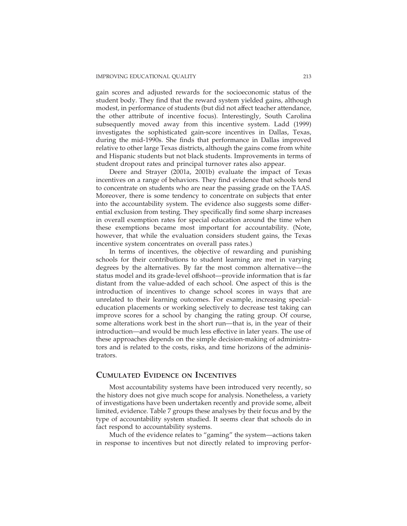gain scores and adjusted rewards for the socioeconomic status of the student body. They find that the reward system yielded gains, although modest, in performance of students (but did not affect teacher attendance, the other attribute of incentive focus). Interestingly, South Carolina subsequently moved away from this incentive system. Ladd (1999) investigates the sophisticated gain-score incentives in Dallas, Texas, during the mid-1990s. She finds that performance in Dallas improved relative to other large Texas districts, although the gains come from white and Hispanic students but not black students. Improvements in terms of student dropout rates and principal turnover rates also appear.

Deere and Strayer (2001a, 2001b) evaluate the impact of Texas incentives on a range of behaviors. They find evidence that schools tend to concentrate on students who are near the passing grade on the TAAS. Moreover, there is some tendency to concentrate on subjects that enter into the accountability system. The evidence also suggests some differential exclusion from testing. They specifically find some sharp increases in overall exemption rates for special education around the time when these exemptions became most important for accountability. (Note, however, that while the evaluation considers student gains, the Texas incentive system concentrates on overall pass rates.)

In terms of incentives, the objective of rewarding and punishing schools for their contributions to student learning are met in varying degrees by the alternatives. By far the most common alternative—the status model and its grade-level offshoot—provide information that is far distant from the value-added of each school. One aspect of this is the introduction of incentives to change school scores in ways that are unrelated to their learning outcomes. For example, increasing specialeducation placements or working selectively to decrease test taking can improve scores for a school by changing the rating group. Of course, some alterations work best in the short run—that is, in the year of their introduction—and would be much less effective in later years. The use of these approaches depends on the simple decision-making of administrators and is related to the costs, risks, and time horizons of the administrators.

## **CUMULATED EVIDENCE ON INCENTIVES**

Most accountability systems have been introduced very recently, so the history does not give much scope for analysis. Nonetheless, a variety of investigations have been undertaken recently and provide some, albeit limited, evidence. Table 7 groups these analyses by their focus and by the type of accountability system studied. It seems clear that schools do in fact respond to accountability systems.

Much of the evidence relates to "gaming" the system—actions taken in response to incentives but not directly related to improving perfor-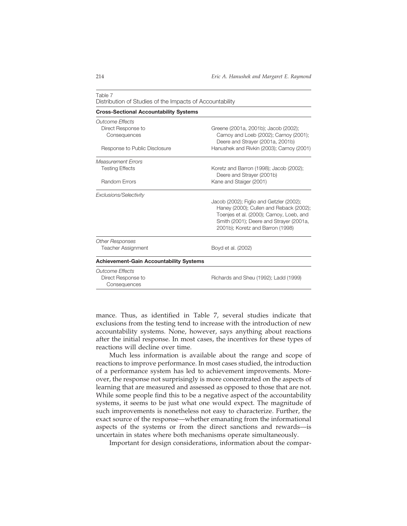| <b>Cross-Sectional Accountability Systems</b>  |                                                                                                                                                                                                                |
|------------------------------------------------|----------------------------------------------------------------------------------------------------------------------------------------------------------------------------------------------------------------|
| Outcome Effects                                |                                                                                                                                                                                                                |
| Direct Response to                             | Greene (2001a, 2001b); Jacob (2002);                                                                                                                                                                           |
| Consequences                                   | Carnoy and Loeb (2002); Carnoy (2001);<br>Deere and Strayer (2001a, 2001b)                                                                                                                                     |
| Response to Public Disclosure                  | Hanushek and Rivkin (2003); Carnoy (2001)                                                                                                                                                                      |
| <b>Measurement Errors</b>                      |                                                                                                                                                                                                                |
| <b>Testing Effects</b>                         | Koretz and Barron (1998); Jacob (2002);<br>Deere and Strayer (2001b)                                                                                                                                           |
| <b>Random Errors</b>                           | Kane and Staiger (2001)                                                                                                                                                                                        |
| Exclusions/Selectivity                         |                                                                                                                                                                                                                |
|                                                | Jacob (2002); Figlio and Getzler (2002);<br>Haney (2000); Cullen and Reback (2002);<br>Toenjes et al. (2000); Carnoy, Loeb, and<br>Smith (2001); Deere and Strayer (2001a,<br>2001b); Koretz and Barron (1998) |
| <b>Other Responses</b>                         |                                                                                                                                                                                                                |
| <b>Teacher Assignment</b>                      | Boyd et al. (2002)                                                                                                                                                                                             |
| <b>Achievement-Gain Accountability Systems</b> |                                                                                                                                                                                                                |
| <b>Outcome Effects</b>                         |                                                                                                                                                                                                                |
| Direct Response to<br>Consequences             | Richards and Sheu (1992); Ladd (1999)                                                                                                                                                                          |

| Table 7                                                  |  |  |
|----------------------------------------------------------|--|--|
| Distribution of Studies of the Impacts of Accountability |  |  |

mance. Thus, as identified in Table 7, several studies indicate that exclusions from the testing tend to increase with the introduction of new accountability systems. None, however, says anything about reactions after the initial response. In most cases, the incentives for these types of reactions will decline over time.

Much less information is available about the range and scope of reactions to improve performance. In most cases studied, the introduction of a performance system has led to achievement improvements. Moreover, the response not surprisingly is more concentrated on the aspects of learning that are measured and assessed as opposed to those that are not. While some people find this to be a negative aspect of the accountability systems, it seems to be just what one would expect. The magnitude of such improvements is nonetheless not easy to characterize. Further, the exact source of the response—whether emanating from the informational aspects of the systems or from the direct sanctions and rewards—is uncertain in states where both mechanisms operate simultaneously.

Important for design considerations, information about the compar-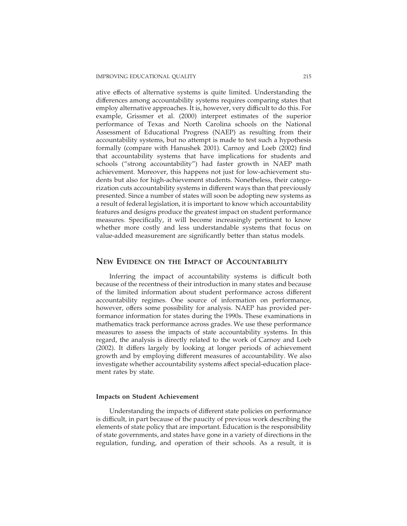ative effects of alternative systems is quite limited. Understanding the differences among accountability systems requires comparing states that employ alternative approaches. It is, however, very difficult to do this. For example, Grissmer et al. (2000) interpret estimates of the superior performance of Texas and North Carolina schools on the National Assessment of Educational Progress (NAEP) as resulting from their accountability systems, but no attempt is made to test such a hypothesis formally (compare with Hanushek 2001). Carnoy and Loeb (2002) find that accountability systems that have implications for students and schools ("strong accountability") had faster growth in NAEP math achievement. Moreover, this happens not just for low-achievement students but also for high-achievement students. Nonetheless, their categorization cuts accountability systems in different ways than that previously presented. Since a number of states will soon be adopting new systems as a result of federal legislation, it is important to know which accountability features and designs produce the greatest impact on student performance measures. Specifically, it will become increasingly pertinent to know whether more costly and less understandable systems that focus on value-added measurement are significantly better than status models.

## **NEW EVIDENCE ON THE IMPACT OF ACCOUNTABILITY**

Inferring the impact of accountability systems is difficult both because of the recentness of their introduction in many states and because of the limited information about student performance across different accountability regimes. One source of information on performance, however, offers some possibility for analysis. NAEP has provided performance information for states during the 1990s. These examinations in mathematics track performance across grades. We use these performance measures to assess the impacts of state accountability systems. In this regard, the analysis is directly related to the work of Carnoy and Loeb (2002). It differs largely by looking at longer periods of achievement growth and by employing different measures of accountability. We also investigate whether accountability systems affect special-education placement rates by state.

### **Impacts on Student Achievement**

Understanding the impacts of different state policies on performance is difficult, in part because of the paucity of previous work describing the elements of state policy that are important. Education is the responsibility of state governments, and states have gone in a variety of directions in the regulation, funding, and operation of their schools. As a result, it is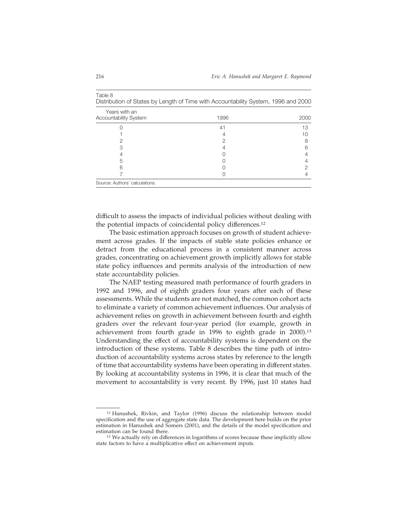| Distribution of States by Length of Time with Accountability System, 1996 and 2000 |      |      |
|------------------------------------------------------------------------------------|------|------|
| Years with an<br><b>Accountability System</b>                                      | 1996 | 2000 |
|                                                                                    | 41   | 13   |
|                                                                                    |      | 10   |
|                                                                                    |      |      |
|                                                                                    |      |      |
|                                                                                    |      |      |
| 5                                                                                  |      |      |
|                                                                                    |      |      |
|                                                                                    |      |      |
| Source: Authors' calculations.                                                     |      |      |

Table 8

difficult to assess the impacts of individual policies without dealing with the potential impacts of coincidental policy differences.12

The basic estimation approach focuses on growth of student achievement across grades. If the impacts of stable state policies enhance or detract from the educational process in a consistent manner across grades, concentrating on achievement growth implicitly allows for stable state policy influences and permits analysis of the introduction of new state accountability policies.

The NAEP testing measured math performance of fourth graders in 1992 and 1996, and of eighth graders four years after each of these assessments. While the students are not matched, the common cohort acts to eliminate a variety of common achievement influences. Our analysis of achievement relies on growth in achievement between fourth and eighth graders over the relevant four-year period (for example, growth in achievement from fourth grade in 1996 to eighth grade in 2000).<sup>13</sup> Understanding the effect of accountability systems is dependent on the introduction of these systems. Table 8 describes the time path of introduction of accountability systems across states by reference to the length of time that accountability systems have been operating in different states. By looking at accountability systems in 1996, it is clear that much of the movement to accountability is very recent. By 1996, just 10 states had

<sup>12</sup> Hanushek, Rivkin, and Taylor (1996) discuss the relationship between model specification and the use of aggregate state data. The development here builds on the prior estimation in Hanushek and Somers (2001), and the details of the model specification and estimation can be found there.

<sup>&</sup>lt;sup>13</sup> We actually rely on differences in logarithms of scores because these implicitly allow state factors to have a multiplicative effect on achievement inputs.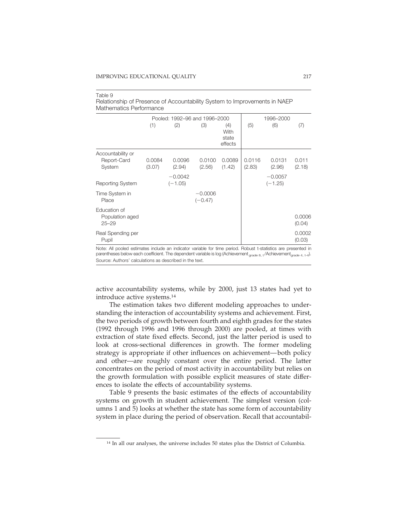| <u>Matholinativə il onivi hahivə</u>         |                  |                               |                        |                                 |                  |                  |                  |
|----------------------------------------------|------------------|-------------------------------|------------------------|---------------------------------|------------------|------------------|------------------|
|                                              |                  | Pooled: 1992-96 and 1996-2000 |                        |                                 |                  | 1996-2000        |                  |
|                                              | (1)              | (2)                           | (3)                    | (4)<br>With<br>state<br>effects | (5)              | (6)              | (7)              |
| Accountability or                            |                  |                               |                        |                                 |                  |                  |                  |
| Report-Card<br>System                        | 0.0084<br>(3.07) | 0.0096<br>(2.94)              | 0.0100<br>(2.56)       | 0.0089<br>(1.42)                | 0.0116<br>(2.83) | 0.0131<br>(2.96) | 0.011<br>(2.18)  |
|                                              |                  | $-0.0042$                     |                        |                                 |                  | $-0.0057$        |                  |
| <b>Reporting System</b>                      |                  | $(-1.05)$                     |                        |                                 |                  | $(-1.25)$        |                  |
| Time System in<br>Place                      |                  |                               | $-0.0006$<br>$(-0.47)$ |                                 |                  |                  |                  |
| Education of<br>Population aged<br>$25 - 29$ |                  |                               |                        |                                 |                  |                  | 0.0006<br>(0.04) |
| Real Spending per<br>Pupil                   |                  |                               |                        |                                 |                  |                  | 0.0002<br>(0.03) |

#### Table 9 Relationship of Presence of Accountability System to Improvements in NAEP Mathematics Performance

Note: All pooled estimates include an indicator variable for time period. Robust t-statistics are presented in parentheses below each coefficient. The dependent variable is log (Achievement  $_{\text{grade } 8, t}$ /Achievement $_{\text{grade } 4, t-4}$ ). Source: Authors' calculations as described in the text.

active accountability systems, while by 2000, just 13 states had yet to introduce active systems.14

The estimation takes two different modeling approaches to understanding the interaction of accountability systems and achievement. First, the two periods of growth between fourth and eighth grades for the states (1992 through 1996 and 1996 through 2000) are pooled, at times with extraction of state fixed effects. Second, just the latter period is used to look at cross-sectional differences in growth. The former modeling strategy is appropriate if other influences on achievement— both policy and other—are roughly constant over the entire period. The latter concentrates on the period of most activity in accountability but relies on the growth formulation with possible explicit measures of state differences to isolate the effects of accountability systems.

Table 9 presents the basic estimates of the effects of accountability systems on growth in student achievement. The simplest version (columns 1 and 5) looks at whether the state has some form of accountability system in place during the period of observation. Recall that accountabil-

<sup>14</sup> In all our analyses, the universe includes 50 states plus the District of Columbia.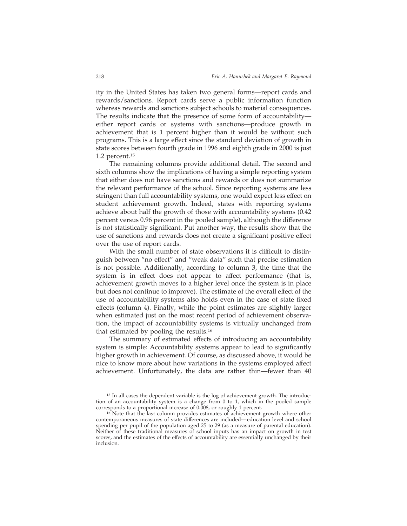ity in the United States has taken two general forms—report cards and rewards/sanctions. Report cards serve a public information function whereas rewards and sanctions subject schools to material consequences. The results indicate that the presence of some form of accountability either report cards or systems with sanctions—produce growth in achievement that is 1 percent higher than it would be without such programs. This is a large effect since the standard deviation of growth in state scores between fourth grade in 1996 and eighth grade in 2000 is just 1.2 percent.15

The remaining columns provide additional detail. The second and sixth columns show the implications of having a simple reporting system that either does not have sanctions and rewards or does not summarize the relevant performance of the school. Since reporting systems are less stringent than full accountability systems, one would expect less effect on student achievement growth. Indeed, states with reporting systems achieve about half the growth of those with accountability systems (0.42 percent versus 0.96 percent in the pooled sample), although the difference is not statistically significant. Put another way, the results show that the use of sanctions and rewards does not create a significant positive effect over the use of report cards.

With the small number of state observations it is difficult to distinguish between "no effect" and "weak data" such that precise estimation is not possible. Additionally, according to column 3, the time that the system is in effect does not appear to affect performance (that is, achievement growth moves to a higher level once the system is in place but does not continue to improve). The estimate of the overall effect of the use of accountability systems also holds even in the case of state fixed effects (column 4). Finally, while the point estimates are slightly larger when estimated just on the most recent period of achievement observation, the impact of accountability systems is virtually unchanged from that estimated by pooling the results.16

The summary of estimated effects of introducing an accountability system is simple: Accountability systems appear to lead to significantly higher growth in achievement. Of course, as discussed above, it would be nice to know more about how variations in the systems employed affect achievement. Unfortunately, the data are rather thin—fewer than 40

<sup>&</sup>lt;sup>15</sup> In all cases the dependent variable is the log of achievement growth. The introduction of an accountability system is a change from 0 to 1, which in the pooled sample corresponds to a proportional increase of 0.008, or roughly 1 percent.

<sup>&</sup>lt;sup>16</sup> Note that the last column provides estimates of achievement growth where other contemporaneous measures of state differences are included—education level and school spending per pupil of the population aged 25 to 29 (as a measure of parental education). Neither of these traditional measures of school inputs has an impact on growth in test scores, and the estimates of the effects of accountability are essentially unchanged by their inclusion.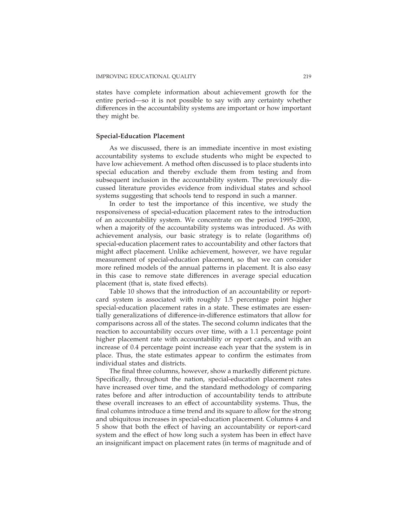states have complete information about achievement growth for the entire period—so it is not possible to say with any certainty whether differences in the accountability systems are important or how important they might be.

### **Special-Education Placement**

As we discussed, there is an immediate incentive in most existing accountability systems to exclude students who might be expected to have low achievement. A method often discussed is to place students into special education and thereby exclude them from testing and from subsequent inclusion in the accountability system. The previously discussed literature provides evidence from individual states and school systems suggesting that schools tend to respond in such a manner.

In order to test the importance of this incentive, we study the responsiveness of special-education placement rates to the introduction of an accountability system. We concentrate on the period 1995–2000, when a majority of the accountability systems was introduced. As with achievement analysis, our basic strategy is to relate (logarithms of) special-education placement rates to accountability and other factors that might affect placement. Unlike achievement, however, we have regular measurement of special-education placement, so that we can consider more refined models of the annual patterns in placement. It is also easy in this case to remove state differences in average special education placement (that is, state fixed effects).

Table 10 shows that the introduction of an accountability or reportcard system is associated with roughly 1.5 percentage point higher special-education placement rates in a state. These estimates are essentially generalizations of difference-in-difference estimators that allow for comparisons across all of the states. The second column indicates that the reaction to accountability occurs over time, with a 1.1 percentage point higher placement rate with accountability or report cards, and with an increase of 0.4 percentage point increase each year that the system is in place. Thus, the state estimates appear to confirm the estimates from individual states and districts.

The final three columns, however, show a markedly different picture. Specifically, throughout the nation, special-education placement rates have increased over time, and the standard methodology of comparing rates before and after introduction of accountability tends to attribute these overall increases to an effect of accountability systems. Thus, the final columns introduce a time trend and its square to allow for the strong and ubiquitous increases in special-education placement. Columns 4 and 5 show that both the effect of having an accountability or report-card system and the effect of how long such a system has been in effect have an insignificant impact on placement rates (in terms of magnitude and of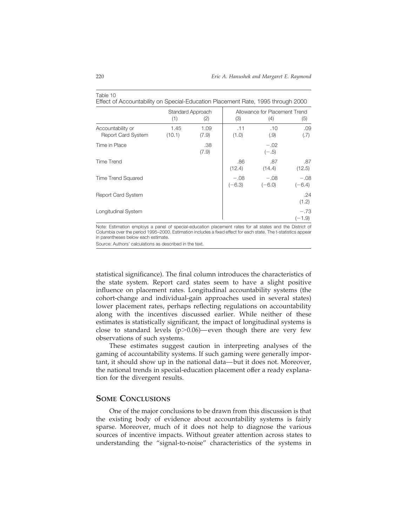|                                         | Standard Approach |               | Allowance for Placement Trend |                    |                    |
|-----------------------------------------|-------------------|---------------|-------------------------------|--------------------|--------------------|
|                                         | (1)               | (2)           | (3)                           | (4)                | (5)                |
| Accountability or<br>Report Card System | 1.45<br>(10.1)    | 1.09<br>(7.9) | .11<br>(1.0)                  | .10<br>(.9)        | .09<br>(.7)        |
| Time in Place                           |                   | .38<br>(7.9)  |                               | $-.02$<br>$(-.5)$  |                    |
| Time Trend                              |                   |               | .86<br>(12.4)                 | .87<br>(14.4)      | .87<br>(12.5)      |
| <b>Time Trend Squared</b>               |                   |               | $-.08$<br>$(-6.3)$            | $-.08$<br>$(-6.0)$ | $-.08$<br>$(-6.4)$ |
| <b>Report Card System</b>               |                   |               |                               |                    | .24<br>(1.2)       |
| Longitudinal System                     |                   |               |                               |                    | $-.73$<br>$(-1.9)$ |

#### Table 10

Effect of Accountability on Special-Education Placement Rate, 1995 through 2000

Note: Estimation employs a panel of special-education placement rates for all states and the District of Columbia over the period 1995–2000. Estimation includes a fixed effect for each state. The t-statistics appear in parentheses below each estimate.

Source: Authors' calculations as described in the text.

statistical significance). The final column introduces the characteristics of the state system. Report card states seem to have a slight positive influence on placement rates. Longitudinal accountability systems (the cohort-change and individual-gain approaches used in several states) lower placement rates, perhaps reflecting regulations on accountability along with the incentives discussed earlier. While neither of these estimates is statistically significant, the impact of longitudinal systems is close to standard levels  $(p>0.06)$ —even though there are very few observations of such systems.

These estimates suggest caution in interpreting analyses of the gaming of accountability systems. If such gaming were generally important, it should show up in the national data— but it does not. Moreover, the national trends in special-education placement offer a ready explanation for the divergent results.

### **SOME CONCLUSIONS**

One of the major conclusions to be drawn from this discussion is that the existing body of evidence about accountability systems is fairly sparse. Moreover, much of it does not help to diagnose the various sources of incentive impacts. Without greater attention across states to understanding the "signal-to-noise" characteristics of the systems in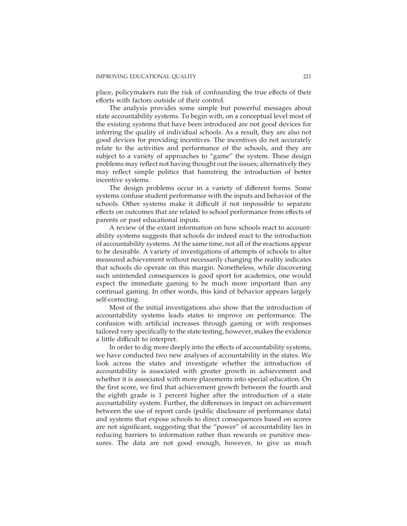place, policymakers run the risk of confounding the true effects of their efforts with factors outside of their control.

The analysis provides some simple but powerful messages about state accountability systems. To begin with, on a conceptual level most of the existing systems that have been introduced are not good devices for inferring the quality of individual schools. As a result, they are also not good devices for providing incentives. The incentives do not accurately relate to the activities and performance of the schools, and they are subject to a variety of approaches to "game" the system. These design problems may reflect not having thought out the issues; alternatively they may reflect simple politics that hamstring the introduction of better incentive systems.

The design problems occur in a variety of different forms. Some systems confuse student performance with the inputs and behavior of the schools. Other systems make it difficult if not impossible to separate effects on outcomes that are related to school performance from effects of parents or past educational inputs.

A review of the extant information on how schools react to accountability systems suggests that schools do indeed react to the introduction of accountability systems. At the same time, not all of the reactions appear to be desirable. A variety of investigations of attempts of schools to alter measured achievement without necessarily changing the reality indicates that schools do operate on this margin. Nonetheless, while discovering such unintended consequences is good sport for academics, one would expect the immediate gaming to be much more important than any continual gaming. In other words, this kind of behavior appears largely self-correcting.

Most of the initial investigations also show that the introduction of accountability systems leads states to improve on performance. The confusion with artificial increases through gaming or with responses tailored very specifically to the state testing, however, makes the evidence a little difficult to interpret.

In order to dig more deeply into the effects of accountability systems, we have conducted two new analyses of accountability in the states. We look across the states and investigate whether the introduction of accountability is associated with greater growth in achievement and whether it is associated with more placements into special education. On the first score, we find that achievement growth between the fourth and the eighth grade is 1 percent higher after the introduction of a state accountability system. Further, the differences in impact on achievement between the use of report cards (public disclosure of performance data) and systems that expose schools to direct consequences based on scores are not significant, suggesting that the "power" of accountability lies in reducing barriers to information rather than rewards or punitive measures. The data are not good enough, however, to give us much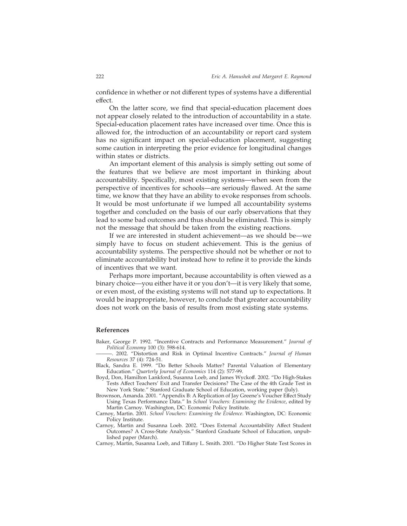confidence in whether or not different types of systems have a differential effect.

On the latter score, we find that special-education placement does not appear closely related to the introduction of accountability in a state. Special-education placement rates have increased over time. Once this is allowed for, the introduction of an accountability or report card system has no significant impact on special-education placement, suggesting some caution in interpreting the prior evidence for longitudinal changes within states or districts.

An important element of this analysis is simply setting out some of the features that we believe are most important in thinking about accountability. Specifically, most existing systems—when seen from the perspective of incentives for schools—are seriously flawed. At the same time, we know that they have an ability to evoke responses from schools. It would be most unfortunate if we lumped all accountability systems together and concluded on the basis of our early observations that they lead to some bad outcomes and thus should be eliminated. This is simply not the message that should be taken from the existing reactions.

If we are interested in student achievement—as we should be—we simply have to focus on student achievement. This is the genius of accountability systems. The perspective should not be whether or not to eliminate accountability but instead how to refine it to provide the kinds of incentives that we want.

Perhaps more important, because accountability is often viewed as a binary choice—you either have it or you don't—it is very likely that some, or even most, of the existing systems will not stand up to expectations. It would be inappropriate, however, to conclude that greater accountability does not work on the basis of results from most existing state systems.

### **References**

- Baker, George P. 1992. "Incentive Contracts and Performance Measurement." *Journal of Political Economy* 100 (3): 598-614.
- ———. 2002. "Distortion and Risk in Optimal Incentive Contracts." *Journal of Human Resources* 37 (4): 724-51.
- Black, Sandra E. 1999. "Do Better Schools Matter? Parental Valuation of Elementary Education." *Quarterly Journal of Economics* 114 (2): 577-99.
- Boyd, Don, Hamilton Lankford, Susanna Loeb, and James Wyckoff. 2002. "Do High-Stakes Tests Affect Teachers' Exit and Transfer Decisions? The Case of the 4th Grade Test in New York State." Stanford Graduate School of Education, working paper (July).
- Brownson, Amanda. 2001. "Appendix B: A Replication of Jay Greene's Voucher Effect Study Using Texas Performance Data." In *School Vouchers: Examining the Evidence*, edited by Martin Carnoy. Washington, DC: Economic Policy Institute.
- Carnoy, Martin. 2001. *School Vouchers: Examining the Evidence*. Washington, DC: Economic Policy Institute.
- Carnoy, Martin and Susanna Loeb. 2002. "Does External Accountability Affect Student Outcomes? A Cross-State Analysis." Stanford Graduate School of Education, unpublished paper (March).
- Carnoy, Martin, Susanna Loeb, and Tiffany L. Smith. 2001. "Do Higher State Test Scores in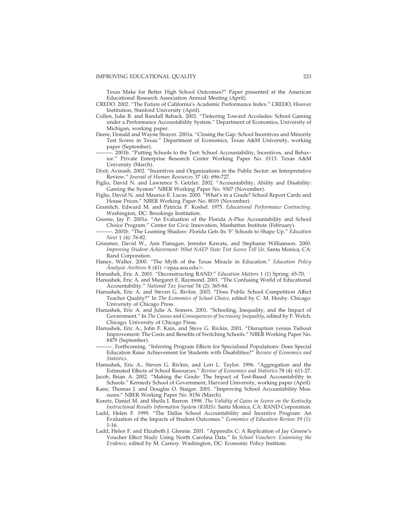Texas Make for Better High School Outcomes?" Paper presented at the American Educational Research Association Annual Meeting (April).

- CREDO. 2002. "The Future of California's Academic Performance Index." CREDO, Hoover Institution, Stanford University (April).
- Cullen, Julie B. and Randall Reback. 2002. "Tinkering Toward Accolades: School Gaming under a Performance Accountability System." Department of Economics, University of Michigan, working paper.
- Deere, Donald and Wayne Strayer. 2001a. "Closing the Gap: School Incentives and Minority Test Scores in Texas." Department of Economics, Texas A&M University, working paper (September).
	- -. 2001b. "Putting Schools to the Test: School Accountability, Incentives, and Behavior." Private Enterprise Research Center Working Paper No. 0113. Texas A&M University (March).
- Dixit, Avinash. 2002. "Incentives and Organizations in the Public Sector: an Interpretative Review." *Journal of Human Resources* 37 (4): 696-727.
- Figlio, David N. and Lawrence S. Getzler. 2002. "Accountability, Ability and Disability: Gaming the System" NBER Working Paper No. 9307 (November).
- Figlio, David N. and Maurice E. Lucas. 2000. "What's in a Grade? School Report Cards and House Prices." NBER Working Paper No. 8019 (November).
- Gramlich, Edward M. and Patricia P. Koshel. 1975. *Educational Performance Contracting*. Washington, DC: Brookings Institution.
- Greene, Jay P. 2001a. "An Evaluation of the Florida A-Plus Accountability and School Choice Program." Center for Civic Innovation, Manhattan Institute (February).
	- ———. 2001b. "The Looming Shadow: Florida Gets Its 'F' Schools to Shape Up." *Education Next* 1 (4): 76-82.
- Grissmer, David W., Ann Flanagan, Jennifer Kawata, and Stephanie Williamson. 2000. *Improving Student Achievement: What NAEP State Test Scores Tell Us*. Santa Monica, CA: Rand Corporation.
- Haney, Walter. 2000. "The Myth of the Texas Miracle in Education." *Education Policy* Analysis Archives 8 (41) <epaa.asu.edu>.
- Hanushek, Eric A. 2001. "Deconstructing RAND." *Education Matters* 1 (1) Spring: 65-70.
- Hanushek, Eric A. and Margaret E. Raymond. 2001. "The Confusing World of Educational Accountability." *National Tax Journal* 54 (2): 365-84.
- Hanushek, Eric A. and Steven G. Rivkin. 2003. "Does Public School Competition Affect Teacher Quality?" In *The Economics of School Choice*, edited by C. M. Hoxby. Chicago: University of Chicago Press.
- Hanushek, Eric A. and Julie A. Somers. 2001. "Schooling, Inequality, and the Impact of Government." In *The Causes and Consequences of Increasing Inequality*, edited by F. Welch. Chicago: University of Chicago Press.
- Hanushek, Eric A., John F. Kain, and Steve G. Rivkin. 2001. "Disruption versus Tiebout Improvement: The Costs and Benefits of Switching Schools." NBER Working Paper No. 8479 (September).
- ———. Forthcoming. "Inferring Program Effects for Specialized Populations: Does Special Education Raise Achievement for Students with Disabilities?" *Review of Economics and Statistics*.
- Hanushek, Eric A., Steven G. Rivkin, and Lori L. Taylor. 1996. "Aggregation and the Estimated Effects of School Resources." *Review of Economics and Statistics* 78 (4): 611-27.
- Jacob, Brian A. 2002. "Making the Grade: The Impact of Test-Based Accountability in Schools." Kennedy School of Government, Harvard University, working paper (April).
- Kane, Thomas J. and Douglas O. Staiger. 2001. "Improving School Accountability Measures." NBER Working Paper No. 8156 (March).
- Koretz, Daniel M. and Sheila I. Barron. 1998. *The Validity of Gains in Scores on the Kentucky Instructional Results Information System (KIRIS)*. Santa Monica, CA: RAND Corporation.
- Ladd, Helen F. 1999. "The Dallas School Accountability and Incentive Program: An Evaluation of the Impacts of Student Outcomes." *Economics of Education Review* 19 (1): 1-16.
- Ladd, Helen F. and Elizabeth J. Glennie. 2001. "Appendix C: A Replication of Jay Greene's Voucher Effect Study Using North Carolina Data." In *School Vouchers: Examining the Evidence*, edited by M. Carnoy. Washington, DC: Economic Policy Institute.